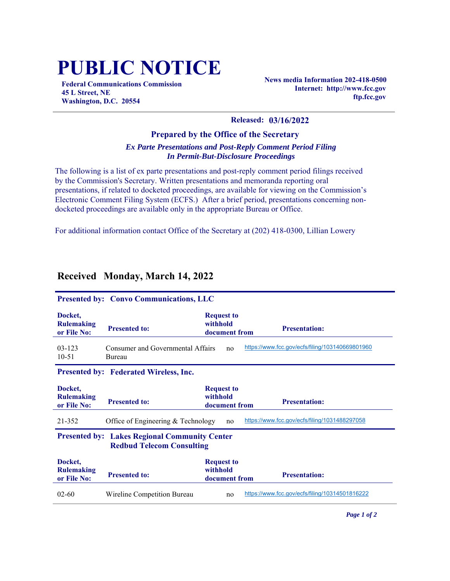## **PUBLIC NOTICE**

**Federal Communications Commission 45 L Street, NE Washington, D.C. 20554**

**News media Information 202-418-0500 Internet: http://www.fcc.gov ftp.fcc.gov**

## **Released: 03/16/2022**

## **Prepared by the Office of the Secretary** *Ex Parte Presentations and Post-Reply Comment Period Filing In Permit-But-Disclosure Proceedings*

The following is a list of ex parte presentations and post-reply comment period filings received by the Commission's Secretary. Written presentations and memoranda reporting oral presentations, if related to docketed proceedings, are available for viewing on the Commission's Electronic Comment Filing System (ECFS.) After a brief period, presentations concerning nondocketed proceedings are available only in the appropriate Bureau or Office.

For additional information contact Office of the Secretary at (202) 418-0300, Lillian Lowery

| <b>Received Monday, March 14, 2022</b> |  |
|----------------------------------------|--|
|                                        |  |

| <b>Presented by: Convo Communications, LLC</b>                                                      |                                             |                                                |                                                 |  |  |  |
|-----------------------------------------------------------------------------------------------------|---------------------------------------------|------------------------------------------------|-------------------------------------------------|--|--|--|
| Docket,<br><b>Rulemaking</b><br>or File No:                                                         | <b>Presented to:</b>                        | <b>Request to</b><br>withhold<br>document from | <b>Presentation:</b>                            |  |  |  |
| $03 - 123$<br>$10 - 51$                                                                             | Consumer and Governmental Affairs<br>Bureau | no                                             | https://www.fcc.gov/ecfs/filing/103140669801960 |  |  |  |
| Presented by: Federated Wireless, Inc.                                                              |                                             |                                                |                                                 |  |  |  |
| Docket,<br><b>Rulemaking</b><br>or File No:                                                         | <b>Presented to:</b>                        | <b>Request to</b><br>withhold<br>document from | <b>Presentation:</b>                            |  |  |  |
| https://www.fcc.gov/ecfs/filing/1031488297058<br>21-352<br>Office of Engineering & Technology<br>no |                                             |                                                |                                                 |  |  |  |
| <b>Presented by: Lakes Regional Community Center</b><br><b>Redbud Telecom Consulting</b>            |                                             |                                                |                                                 |  |  |  |
| Docket,<br><b>Rulemaking</b><br>or File No:                                                         | <b>Presented to:</b>                        | <b>Request to</b><br>withhold<br>document from | <b>Presentation:</b>                            |  |  |  |
| $02 - 60$                                                                                           | Wireline Competition Bureau                 | no                                             | https://www.fcc.gov/ecfs/filing/10314501816222  |  |  |  |

*Page 1 of 2*